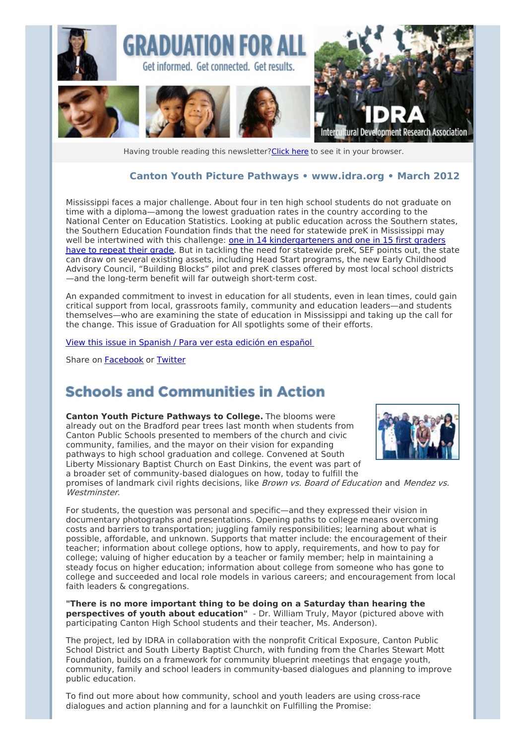

Having trouble reading this newsletter? Click here to see it in your browser.

### **Canton Youth Picture Pathways • [www.idra.org](http://newsletter.impulsedevelopment.com/t/1/l/drhtlit/l/www.idra.org) • March 2012**

Mississippi faces a major challenge. About four in ten high school students do not graduate on time with a diploma—among the lowest graduation rates in the country according to the National Center on Education Statistics. Looking at public education across the Southern states, the Southern Education Foundation finds that the need for statewide preK in Mississippi may well be intertwined with this challenge: one in 14 [kindergarteners](http://newsletter.impulsedevelopment.com/t/r/l/drhtlit/l/j/) and one in 15 first graders have to repeat their grade. But in tackling the need for statewide preK, SEF points out, the state can draw on several existing assets, including Head Start programs, the new Early Childhood Advisory Council, "Building Blocks" pilot and preK classes offered by most local school districts —and the long-term benefit will far outweigh short-term cost.

An expanded commitment to invest in education for all students, even in lean times, could gain critical support from local, grassroots family, community and education leaders—and students themselves—who are examining the state of education in Mississippi and taking up the call for the change. This issue of Graduation for All spotlights some of their efforts.

View this issue in [Spanish](http://newsletter.impulsedevelopment.com/t/r/l/drhtlit/l/t/) / Para ver esta edición en español

Share on [Facebook](/t/r/fb/drhtlit/l/q/?act=wv) or [Twitter](http://newsletter.impulsedevelopment.com/t/r/tw/drhtlit/l/z/)

## **Schools and Communities in Action**

**Canton Youth Picture Pathways to College.** The blooms were already out on the Bradford pear trees last month when students from Canton Public Schools presented to members of the church and civic community, families, and the mayor on their vision for expanding pathways to high school graduation and college. Convened at South Liberty Missionary Baptist Church on East Dinkins, the event was part of a broader set of community-based dialogues on how, today to fulfill the



promises of landmark civil rights decisions, like Brown vs. Board of Education and Mendez vs. Westminster.

For students, the question was personal and specific—and they expressed their vision in documentary photographs and presentations. Opening paths to college means overcoming costs and barriers to transportation; juggling family responsibilities; learning about what is possible, affordable, and unknown. Supports that matter include: the encouragement of their teacher; information about college options, how to apply, requirements, and how to pay for college; valuing of higher education by a teacher or family member; help in maintaining a steady focus on higher education; information about college from someone who has gone to college and succeeded and local role models in various careers; and encouragement from local faith leaders & congregations.

**"There is no more important thing to be doing on a Saturday than hearing the perspectives of youth about education"** - Dr. William Truly, Mayor (pictured above with participating Canton High School students and their teacher, Ms. Anderson).

The project, led by IDRA in collaboration with the nonprofit Critical Exposure, Canton Public School District and South Liberty Baptist Church, with funding from the Charles Stewart Mott Foundation, builds on a framework for community blueprint meetings that engage youth, community, family and school leaders in community-based dialogues and planning to improve public education.

To find out more about how community, school and youth leaders are using cross-race dialogues and action planning and for a launchkit on Fulfilling the Promise: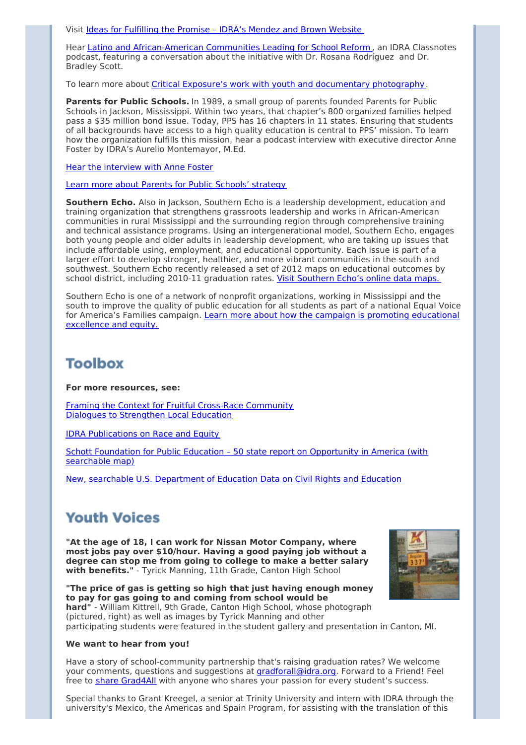Visit Ideas for [Fulfilling](http://newsletter.impulsedevelopment.com/t/r/l/drhtlit/l/i/) the Promise – IDRA's Mendez and Brown Website

Hear Latino and [African-American](http://newsletter.impulsedevelopment.com/t/r/l/drhtlit/l/d/) Communities Leading for School Reform , an IDRA Classnotes podcast, featuring a conversation about the initiative with Dr. Rosana Rodríguez and Dr. Bradley Scott.

To learn more about Critical Exposure's work with youth and [documentary](http://newsletter.impulsedevelopment.com/t/r/l/drhtlit/l/h/) photography.

**Parents for Public Schools.** In 1989, a small group of parents founded Parents for Public Schools in Jackson, Mississippi. Within two years, that chapter's 800 organized families helped pass a \$35 million bond issue. Today, PPS has 16 chapters in 11 states. Ensuring that students of all backgrounds have access to a high quality education is central to PPS' mission. To learn how the organization fulfills this mission, hear a podcast interview with executive director Anne Foster by IDRA's Aurelio Montemayor, M.Ed.

Hear the [interview](http://newsletter.impulsedevelopment.com/t/r/l/drhtlit/l/k/) with Anne Foster

#### Learn more about Parents for Public Schools' [strategy](http://newsletter.impulsedevelopment.com/t/r/l/drhtlit/l/u/)

**Southern Echo.** Also in Jackson, Southern Echo is a leadership development, education and training organization that strengthens grassroots leadership and works in African-American communities in rural Mississippi and the surrounding region through comprehensive training and technical assistance programs. Using an intergenerational model, Southern Echo, engages both young people and older adults in leadership development, who are taking up issues that include affordable using, employment, and educational opportunity. Each issue is part of a larger effort to develop stronger, healthier, and more vibrant communities in the south and southwest. Southern Echo recently released a set of 2012 maps on educational outcomes by school district, including 2010-11 graduation rates. Visit [Southern](http://newsletter.impulsedevelopment.com/t/r/l/drhtlit/l/o/) Echo's online data maps.

Southern Echo is one of a network of nonprofit organizations, working in Mississippi and the south to improve the quality of public education for all students as part of a national Equal Voice for America's Families campaign. Learn more about how the campaign is promoting [educational](http://newsletter.impulsedevelopment.com/t/r/l/drhtlit/l/b/) excellence and equity.

## **Toolbox**

#### **For more resources, see:**

Framing the Context for Fruitful Cross-Race [Community](http://newsletter.impulsedevelopment.com/t/r/l/drhtlit/l/n/) Dialogues to Strengthen Local Education

IDRA [Publications](http://newsletter.impulsedevelopment.com/t/r/l/drhtlit/l/p/) on Race and Equity

Schott Foundation for Public Education – 50 state report on [Opportunity](http://newsletter.impulsedevelopment.com/t/r/l/drhtlit/l/x/) in America (with searchable map)

New, searchable U.S. [Department](http://newsletter.impulsedevelopment.com/t/r/l/drhtlit/l/m/) of Education Data on Civil Rights and Education

## **Youth Voices**

**"At the age of 18, I can work for Nissan Motor Company, where most jobs pay over \$10/hour. Having a good paying job without a degree can stop me from going to college to make a better salary with benefits."** - Tyrick Manning, 11th Grade, Canton High School

**"The price of gas is getting so high that just having enough money to pay for gas going to and coming from school would be hard"** - William Kittrell, 9th Grade, Canton High School, whose photograph (pictured, right) as well as images by Tyrick Manning and other participating students were featured in the student gallery and presentation in Canton, MI.

#### **We want to hear from you!**

Have a story of school-community partnership that's raising graduation rates? We welcome your comments, questions and suggestions at *[gradforall@idra.org](mailto:gradforall@idra.org?subject=Graduation for All - March)*. Forward to a Friend! Feel free to **share [Grad4All](http://newsletter.impulsedevelopment.com/t/r/l/drhtlit/l/c/)** with anyone who shares your passion for every student's success.

Special thanks to Grant Kreegel, a senior at Trinity University and intern with IDRA through the university's Mexico, the Americas and Spain Program, for assisting with the translation of this